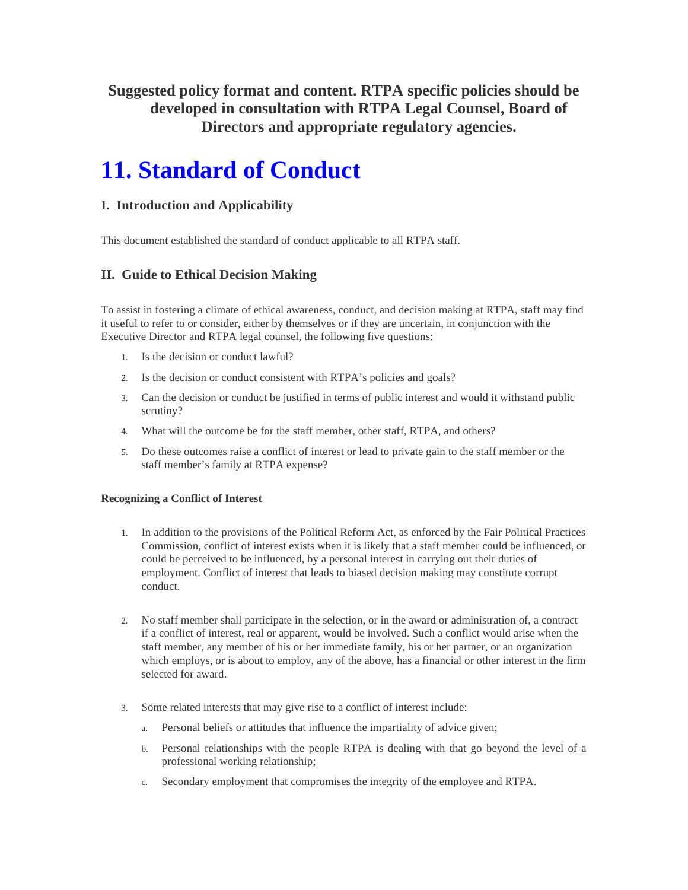**Suggested policy format and content. RTPA specific policies should be developed in consultation with RTPA Legal Counsel, Board of Directors and appropriate regulatory agencies.** 

# **11. Standard of Conduct**

## **I. Introduction and Applicability**

This document established the standard of conduct applicable to all RTPA staff.

# **II. Guide to Ethical Decision Making**

To assist in fostering a climate of ethical awareness, conduct, and decision making at RTPA, staff may find it useful to refer to or consider, either by themselves or if they are uncertain, in conjunction with the Executive Director and RTPA legal counsel, the following five questions:

- 1. Is the decision or conduct lawful?
- 2. Is the decision or conduct consistent with RTPA's policies and goals?
- 3. Can the decision or conduct be justified in terms of public interest and would it withstand public scrutiny?
- 4. What will the outcome be for the staff member, other staff, RTPA, and others?
- 5. Do these outcomes raise a conflict of interest or lead to private gain to the staff member or the staff member's family at RTPA expense?

### **Recognizing a Conflict of Interest**

- 1. In addition to the provisions of the Political Reform Act, as enforced by the Fair Political Practices Commission, conflict of interest exists when it is likely that a staff member could be influenced, or could be perceived to be influenced, by a personal interest in carrying out their duties of employment. Conflict of interest that leads to biased decision making may constitute corrupt conduct.
- 2. No staff member shall participate in the selection, or in the award or administration of, a contract if a conflict of interest, real or apparent, would be involved. Such a conflict would arise when the staff member, any member of his or her immediate family, his or her partner, or an organization which employs, or is about to employ, any of the above, has a financial or other interest in the firm selected for award.
- 3. Some related interests that may give rise to a conflict of interest include:
	- a. Personal beliefs or attitudes that influence the impartiality of advice given;
	- b. Personal relationships with the people RTPA is dealing with that go beyond the level of a professional working relationship;
	- c. Secondary employment that compromises the integrity of the employee and RTPA.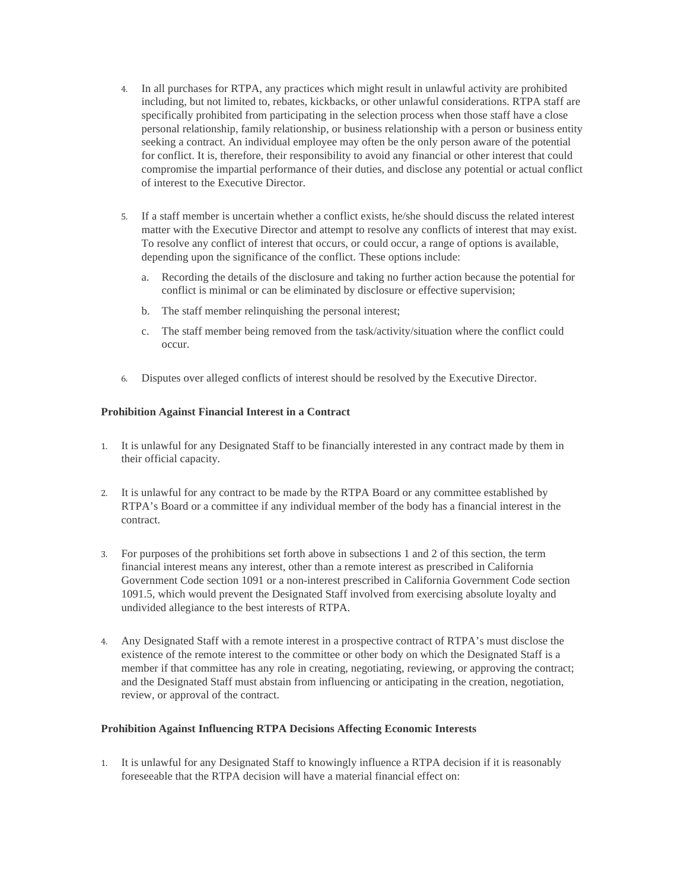- 4. In all purchases for RTPA, any practices which might result in unlawful activity are prohibited including, but not limited to, rebates, kickbacks, or other unlawful considerations. RTPA staff are specifically prohibited from participating in the selection process when those staff have a close personal relationship, family relationship, or business relationship with a person or business entity seeking a contract. An individual employee may often be the only person aware of the potential for conflict. It is, therefore, their responsibility to avoid any financial or other interest that could compromise the impartial performance of their duties, and disclose any potential or actual conflict of interest to the Executive Director.
- 5. If a staff member is uncertain whether a conflict exists, he/she should discuss the related interest matter with the Executive Director and attempt to resolve any conflicts of interest that may exist. To resolve any conflict of interest that occurs, or could occur, a range of options is available, depending upon the significance of the conflict. These options include:
	- a. Recording the details of the disclosure and taking no further action because the potential for conflict is minimal or can be eliminated by disclosure or effective supervision;
	- b. The staff member relinquishing the personal interest;
	- c. The staff member being removed from the task/activity/situation where the conflict could occur.
- 6. Disputes over alleged conflicts of interest should be resolved by the Executive Director.

#### **Prohibition Against Financial Interest in a Contract**

- 1. It is unlawful for any Designated Staff to be financially interested in any contract made by them in their official capacity.
- 2. It is unlawful for any contract to be made by the RTPA Board or any committee established by RTPA's Board or a committee if any individual member of the body has a financial interest in the contract.
- 3. For purposes of the prohibitions set forth above in subsections 1 and 2 of this section, the term financial interest means any interest, other than a remote interest as prescribed in California Government Code section 1091 or a non-interest prescribed in California Government Code section 1091.5, which would prevent the Designated Staff involved from exercising absolute loyalty and undivided allegiance to the best interests of RTPA.
- 4. Any Designated Staff with a remote interest in a prospective contract of RTPA's must disclose the existence of the remote interest to the committee or other body on which the Designated Staff is a member if that committee has any role in creating, negotiating, reviewing, or approving the contract; and the Designated Staff must abstain from influencing or anticipating in the creation, negotiation, review, or approval of the contract.

#### **Prohibition Against Influencing RTPA Decisions Affecting Economic Interests**

1. It is unlawful for any Designated Staff to knowingly influence a RTPA decision if it is reasonably foreseeable that the RTPA decision will have a material financial effect on: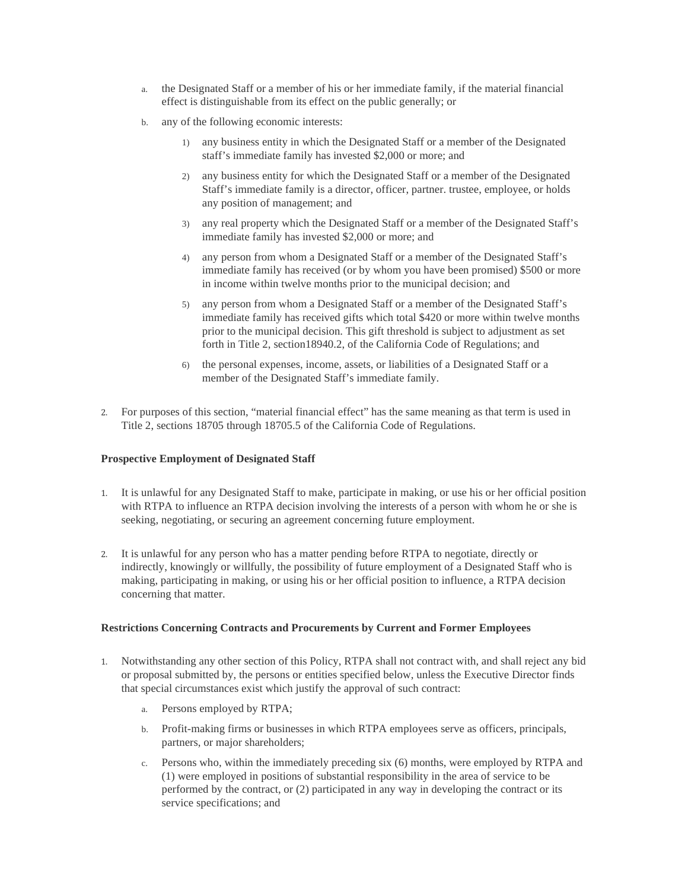- a. the Designated Staff or a member of his or her immediate family, if the material financial effect is distinguishable from its effect on the public generally; or
- b. any of the following economic interests:
	- 1) any business entity in which the Designated Staff or a member of the Designated staff's immediate family has invested \$2,000 or more; and
	- 2) any business entity for which the Designated Staff or a member of the Designated Staff's immediate family is a director, officer, partner. trustee, employee, or holds any position of management; and
	- 3) any real property which the Designated Staff or a member of the Designated Staff's immediate family has invested \$2,000 or more; and
	- 4) any person from whom a Designated Staff or a member of the Designated Staff's immediate family has received (or by whom you have been promised) \$500 or more in income within twelve months prior to the municipal decision; and
	- 5) any person from whom a Designated Staff or a member of the Designated Staff's immediate family has received gifts which total \$420 or more within twelve months prior to the municipal decision. This gift threshold is subject to adjustment as set forth in Title 2, section18940.2, of the California Code of Regulations; and
	- 6) the personal expenses, income, assets, or liabilities of a Designated Staff or a member of the Designated Staff's immediate family.
- 2. For purposes of this section, "material financial effect" has the same meaning as that term is used in Title 2, sections 18705 through 18705.5 of the California Code of Regulations.

### **Prospective Employment of Designated Staff**

- 1. It is unlawful for any Designated Staff to make, participate in making, or use his or her official position with RTPA to influence an RTPA decision involving the interests of a person with whom he or she is seeking, negotiating, or securing an agreement concerning future employment.
- 2. It is unlawful for any person who has a matter pending before RTPA to negotiate, directly or indirectly, knowingly or willfully, the possibility of future employment of a Designated Staff who is making, participating in making, or using his or her official position to influence, a RTPA decision concerning that matter.

### **Restrictions Concerning Contracts and Procurements by Current and Former Employees**

- 1. Notwithstanding any other section of this Policy, RTPA shall not contract with, and shall reject any bid or proposal submitted by, the persons or entities specified below, unless the Executive Director finds that special circumstances exist which justify the approval of such contract:
	- a. Persons employed by RTPA;
	- b. Profit-making firms or businesses in which RTPA employees serve as officers, principals, partners, or major shareholders;
	- c. Persons who, within the immediately preceding six (6) months, were employed by RTPA and (1) were employed in positions of substantial responsibility in the area of service to be performed by the contract, or (2) participated in any way in developing the contract or its service specifications; and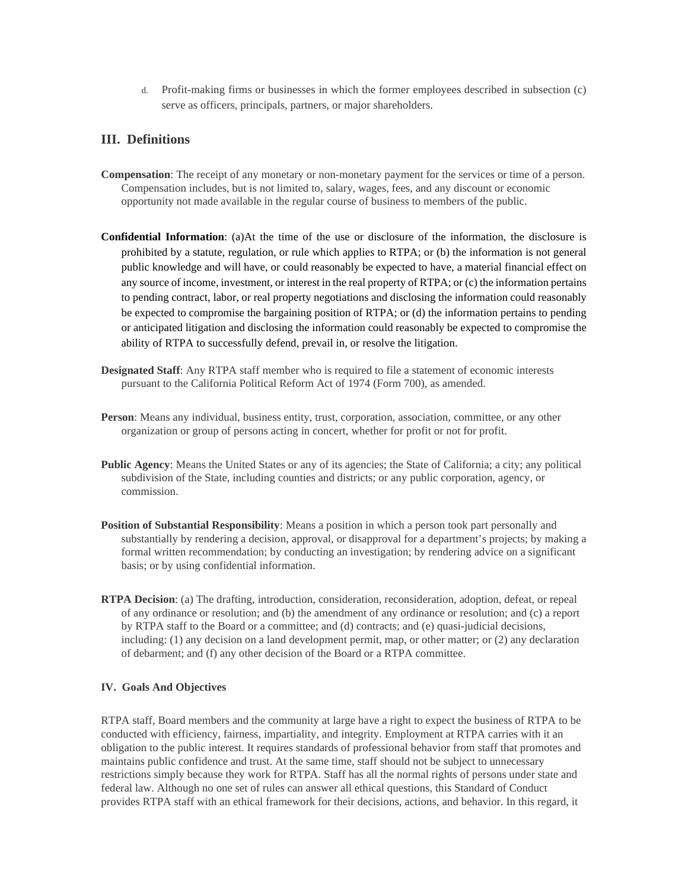d. Profit-making firms or businesses in which the former employees described in subsection (c) serve as officers, principals, partners, or major shareholders.

## **III. Definitions**

- **Compensation**: The receipt of any monetary or non-monetary payment for the services or time of a person. Compensation includes, but is not limited to, salary, wages, fees, and any discount or economic opportunity not made available in the regular course of business to members of the public.
- **Confidential Information**: (a)At the time of the use or disclosure of the information, the disclosure is prohibited by a statute, regulation, or rule which applies to RTPA; or (b) the information is not general public knowledge and will have, or could reasonably be expected to have, a material financial effect on any source of income, investment, or interest in the real property of RTPA; or (c) the information pertains to pending contract, labor, or real property negotiations and disclosing the information could reasonably be expected to compromise the bargaining position of RTPA; or (d) the information pertains to pending or anticipated litigation and disclosing the information could reasonably be expected to compromise the ability of RTPA to successfully defend, prevail in, or resolve the litigation.
- **Designated Staff**: Any RTPA staff member who is required to file a statement of economic interests pursuant to the California Political Reform Act of 1974 (Form 700), as amended.
- **Person**: Means any individual, business entity, trust, corporation, association, committee, or any other organization or group of persons acting in concert, whether for profit or not for profit.
- **Public Agency**: Means the United States or any of its agencies; the State of California; a city; any political subdivision of the State, including counties and districts; or any public corporation, agency, or commission.
- **Position of Substantial Responsibility**: Means a position in which a person took part personally and substantially by rendering a decision, approval, or disapproval for a department's projects; by making a formal written recommendation; by conducting an investigation; by rendering advice on a significant basis; or by using confidential information.
- **RTPA Decision**: (a) The drafting, introduction, consideration, reconsideration, adoption, defeat, or repeal of any ordinance or resolution; and (b) the amendment of any ordinance or resolution; and (c) a report by RTPA staff to the Board or a committee; and (d) contracts; and (e) quasi-judicial decisions, including: (1) any decision on a land development permit, map, or other matter; or (2) any declaration of debarment; and (f) any other decision of the Board or a RTPA committee.

#### **IV. Goals And Objectives**

RTPA staff, Board members and the community at large have a right to expect the business of RTPA to be conducted with efficiency, fairness, impartiality, and integrity. Employment at RTPA carries with it an obligation to the public interest. It requires standards of professional behavior from staff that promotes and maintains public confidence and trust. At the same time, staff should not be subject to unnecessary restrictions simply because they work for RTPA. Staff has all the normal rights of persons under state and federal law. Although no one set of rules can answer all ethical questions, this Standard of Conduct provides RTPA staff with an ethical framework for their decisions, actions, and behavior. In this regard, it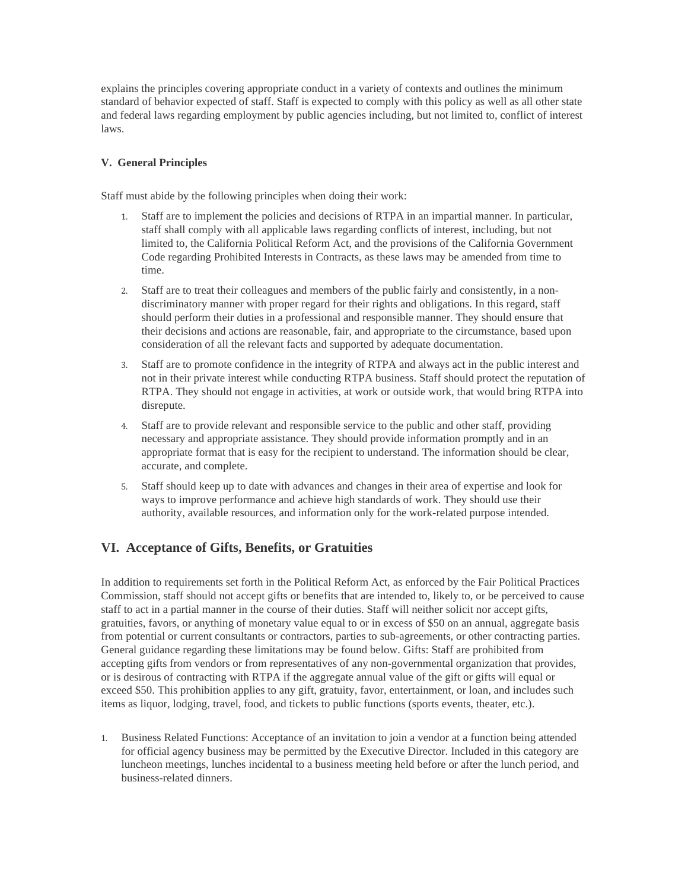explains the principles covering appropriate conduct in a variety of contexts and outlines the minimum standard of behavior expected of staff. Staff is expected to comply with this policy as well as all other state and federal laws regarding employment by public agencies including, but not limited to, conflict of interest laws.

### **V. General Principles**

Staff must abide by the following principles when doing their work:

- 1. Staff are to implement the policies and decisions of RTPA in an impartial manner. In particular, staff shall comply with all applicable laws regarding conflicts of interest, including, but not limited to, the California Political Reform Act, and the provisions of the California Government Code regarding Prohibited Interests in Contracts, as these laws may be amended from time to time.
- 2. Staff are to treat their colleagues and members of the public fairly and consistently, in a nondiscriminatory manner with proper regard for their rights and obligations. In this regard, staff should perform their duties in a professional and responsible manner. They should ensure that their decisions and actions are reasonable, fair, and appropriate to the circumstance, based upon consideration of all the relevant facts and supported by adequate documentation.
- 3. Staff are to promote confidence in the integrity of RTPA and always act in the public interest and not in their private interest while conducting RTPA business. Staff should protect the reputation of RTPA. They should not engage in activities, at work or outside work, that would bring RTPA into disrepute.
- 4. Staff are to provide relevant and responsible service to the public and other staff, providing necessary and appropriate assistance. They should provide information promptly and in an appropriate format that is easy for the recipient to understand. The information should be clear, accurate, and complete.
- 5. Staff should keep up to date with advances and changes in their area of expertise and look for ways to improve performance and achieve high standards of work. They should use their authority, available resources, and information only for the work-related purpose intended.

## **VI. Acceptance of Gifts, Benefits, or Gratuities**

In addition to requirements set forth in the Political Reform Act, as enforced by the Fair Political Practices Commission, staff should not accept gifts or benefits that are intended to, likely to, or be perceived to cause staff to act in a partial manner in the course of their duties. Staff will neither solicit nor accept gifts, gratuities, favors, or anything of monetary value equal to or in excess of \$50 on an annual, aggregate basis from potential or current consultants or contractors, parties to sub-agreements, or other contracting parties. General guidance regarding these limitations may be found below. Gifts: Staff are prohibited from accepting gifts from vendors or from representatives of any non-governmental organization that provides, or is desirous of contracting with RTPA if the aggregate annual value of the gift or gifts will equal or exceed \$50. This prohibition applies to any gift, gratuity, favor, entertainment, or loan, and includes such items as liquor, lodging, travel, food, and tickets to public functions (sports events, theater, etc.).

1. Business Related Functions: Acceptance of an invitation to join a vendor at a function being attended for official agency business may be permitted by the Executive Director. Included in this category are luncheon meetings, lunches incidental to a business meeting held before or after the lunch period, and business-related dinners.